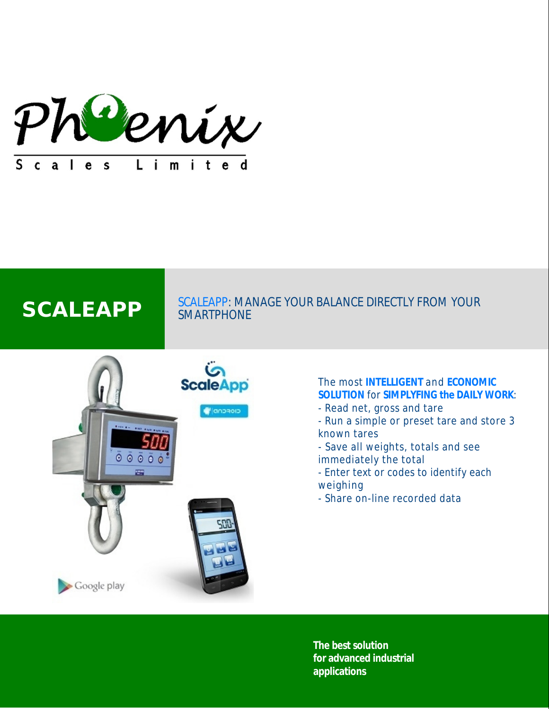

# SCALEAPP SCALEAPP: MANAGE YOUR BALANCE DIRECTLY FROM YOUR SMARTPHONE



# The most **INTELLIGENT** and **ECONOMIC SOLUTION** for **SIMPLYFING the DAILY WORK**:

- Read net, gross and tare
- Run a simple or preset tare and store 3 known tares
- Save all weights, totals and see immediately the total
- Enter text or codes to identify each weighing
- Share on-line recorded data

**The best solution for advanced industrial applications**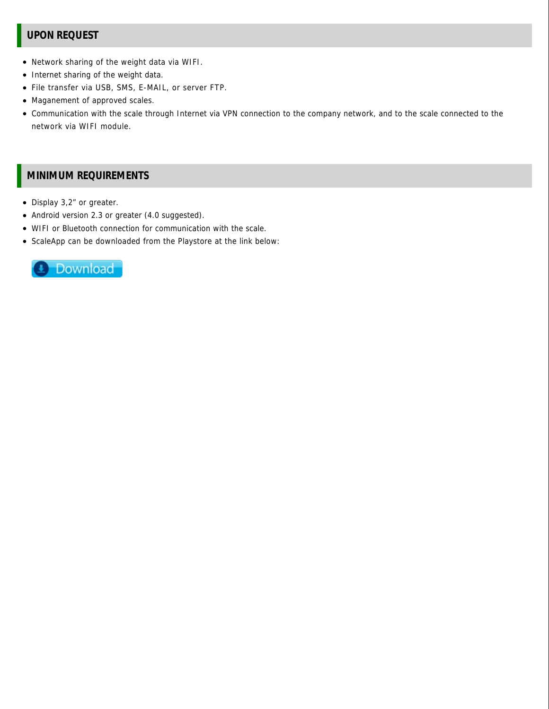# **UPON REQUEST**

- Network sharing of the weight data via WIFI.
- Internet sharing of the weight data.
- File transfer via USB, SMS, E-MAIL, or server FTP.
- Maganement of approved scales.
- Communication with the scale through Internet via VPN connection to the company network, and to the scale connected to the network via WIFI module.

# **MINIMUM REQUIREMENTS**

- Display 3,2" or greater.
- Android version 2.3 or greater (4.0 suggested).
- WIFI or Bluetooth connection for communication with the scale.
- ScaleApp can be downloaded from the Playstore at the link below: